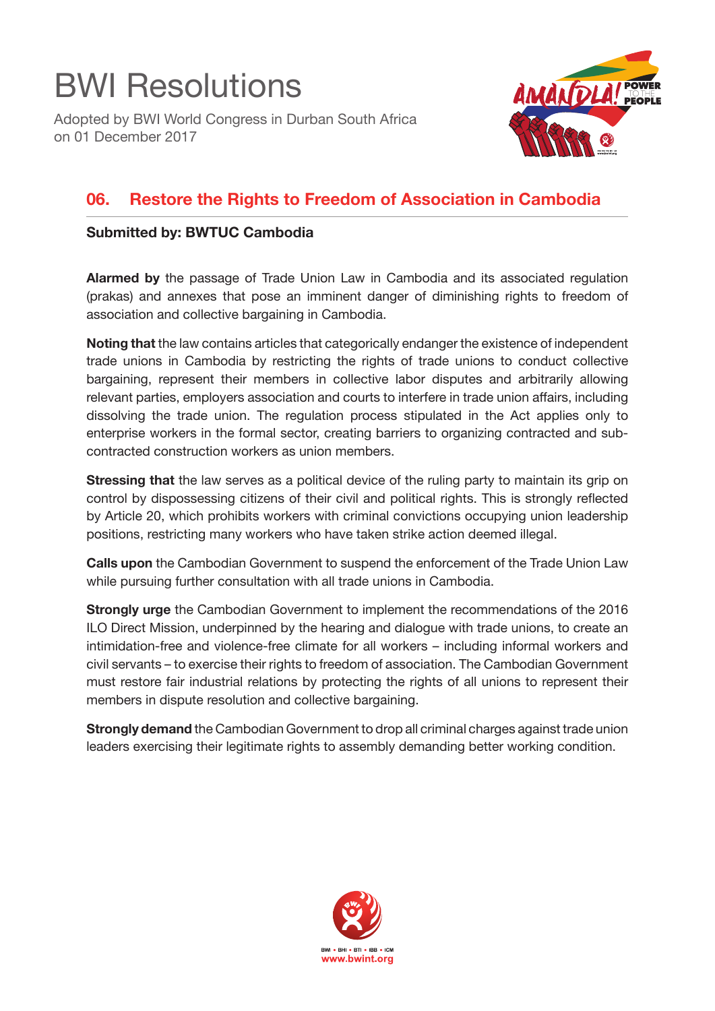## BWI Resolutions

Adopted by BWI World Congress in Durban South Africa on 01 December 2017



## **06. Restore the Rights to Freedom of Association in Cambodia**

## **Submitted by: BWTUC Cambodia**

**Alarmed by** the passage of Trade Union Law in Cambodia and its associated regulation (prakas) and annexes that pose an imminent danger of diminishing rights to freedom of association and collective bargaining in Cambodia.

**Noting that** the law contains articles that categorically endanger the existence of independent trade unions in Cambodia by restricting the rights of trade unions to conduct collective bargaining, represent their members in collective labor disputes and arbitrarily allowing relevant parties, employers association and courts to interfere in trade union affairs, including dissolving the trade union. The regulation process stipulated in the Act applies only to enterprise workers in the formal sector, creating barriers to organizing contracted and subcontracted construction workers as union members.

**Stressing that** the law serves as a political device of the ruling party to maintain its grip on control by dispossessing citizens of their civil and political rights. This is strongly reflected by Article 20, which prohibits workers with criminal convictions occupying union leadership positions, restricting many workers who have taken strike action deemed illegal.

**Calls upon** the Cambodian Government to suspend the enforcement of the Trade Union Law while pursuing further consultation with all trade unions in Cambodia.

**Strongly urge** the Cambodian Government to implement the recommendations of the 2016 ILO Direct Mission, underpinned by the hearing and dialogue with trade unions, to create an intimidation-free and violence-free climate for all workers – including informal workers and civil servants – to exercise their rights to freedom of association. The Cambodian Government must restore fair industrial relations by protecting the rights of all unions to represent their members in dispute resolution and collective bargaining.

**Strongly demand** the Cambodian Government to drop all criminal charges against trade union leaders exercising their legitimate rights to assembly demanding better working condition.